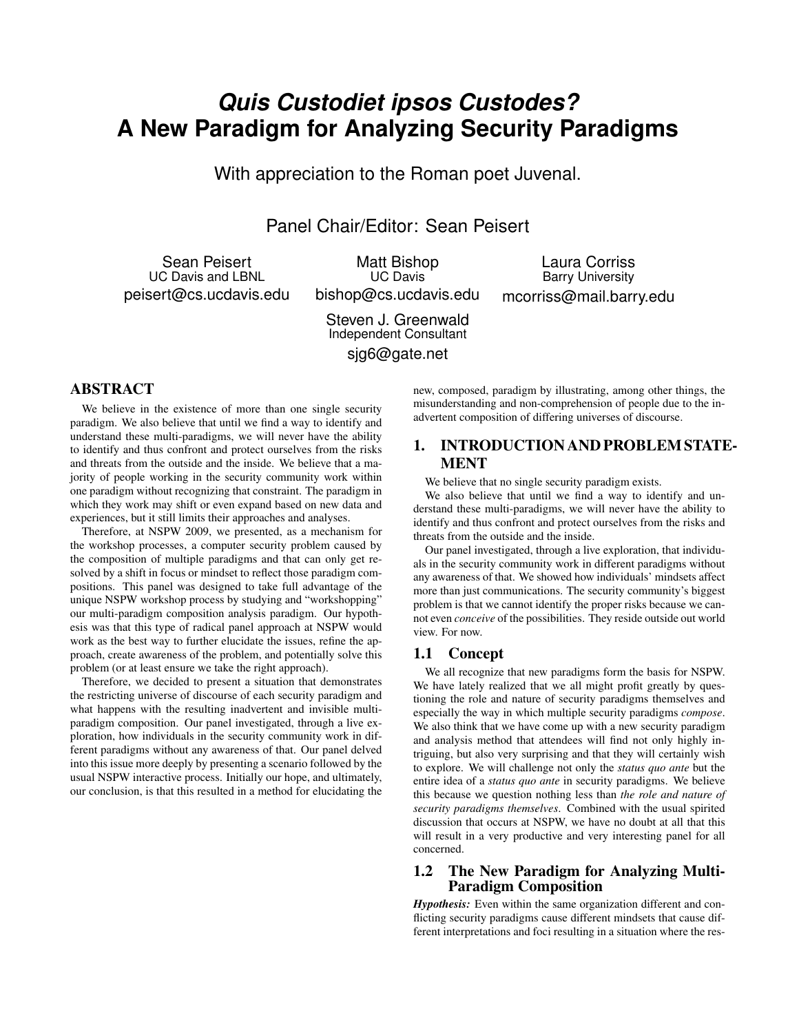# *Quis Custodiet ipsos Custodes?* **A New Paradigm for Analyzing Security Paradigms**

With appreciation to the Roman poet Juvenal.

Panel Chair/Editor: Sean Peisert

Sean Peisert UC Davis and LBNL peisert@cs.ucdavis.edu

Matt Bishop UC Davis bishop@cs.ucdavis.edu

Laura Corriss Barry University mcorriss@mail.barry.edu

Steven J. Greenwald Independent Consultant sjg6@gate.net

## ABSTRACT

We believe in the existence of more than one single security paradigm. We also believe that until we find a way to identify and understand these multi-paradigms, we will never have the ability to identify and thus confront and protect ourselves from the risks and threats from the outside and the inside. We believe that a majority of people working in the security community work within one paradigm without recognizing that constraint. The paradigm in which they work may shift or even expand based on new data and experiences, but it still limits their approaches and analyses.

Therefore, at NSPW 2009, we presented, as a mechanism for the workshop processes, a computer security problem caused by the composition of multiple paradigms and that can only get resolved by a shift in focus or mindset to reflect those paradigm compositions. This panel was designed to take full advantage of the unique NSPW workshop process by studying and "workshopping" our multi-paradigm composition analysis paradigm. Our hypothesis was that this type of radical panel approach at NSPW would work as the best way to further elucidate the issues, refine the approach, create awareness of the problem, and potentially solve this problem (or at least ensure we take the right approach).

Therefore, we decided to present a situation that demonstrates the restricting universe of discourse of each security paradigm and what happens with the resulting inadvertent and invisible multiparadigm composition. Our panel investigated, through a live exploration, how individuals in the security community work in different paradigms without any awareness of that. Our panel delved into this issue more deeply by presenting a scenario followed by the usual NSPW interactive process. Initially our hope, and ultimately, our conclusion, is that this resulted in a method for elucidating the

new, composed, paradigm by illustrating, among other things, the misunderstanding and non-comprehension of people due to the inadvertent composition of differing universes of discourse.

## 1. INTRODUCTION AND PROBLEM STATE-MENT

We believe that no single security paradigm exists.

We also believe that until we find a way to identify and understand these multi-paradigms, we will never have the ability to identify and thus confront and protect ourselves from the risks and threats from the outside and the inside.

Our panel investigated, through a live exploration, that individuals in the security community work in different paradigms without any awareness of that. We showed how individuals' mindsets affect more than just communications. The security community's biggest problem is that we cannot identify the proper risks because we cannot even *conceive* of the possibilities. They reside outside out world view. For now.

### 1.1 Concept

We all recognize that new paradigms form the basis for NSPW. We have lately realized that we all might profit greatly by questioning the role and nature of security paradigms themselves and especially the way in which multiple security paradigms *compose*. We also think that we have come up with a new security paradigm and analysis method that attendees will find not only highly intriguing, but also very surprising and that they will certainly wish to explore. We will challenge not only the *status quo ante* but the entire idea of a *status quo ante* in security paradigms. We believe this because we question nothing less than *the role and nature of security paradigms themselves*. Combined with the usual spirited discussion that occurs at NSPW, we have no doubt at all that this will result in a very productive and very interesting panel for all concerned.

## 1.2 The New Paradigm for Analyzing Multi-Paradigm Composition

*Hypothesis:* Even within the same organization different and conflicting security paradigms cause different mindsets that cause different interpretations and foci resulting in a situation where the res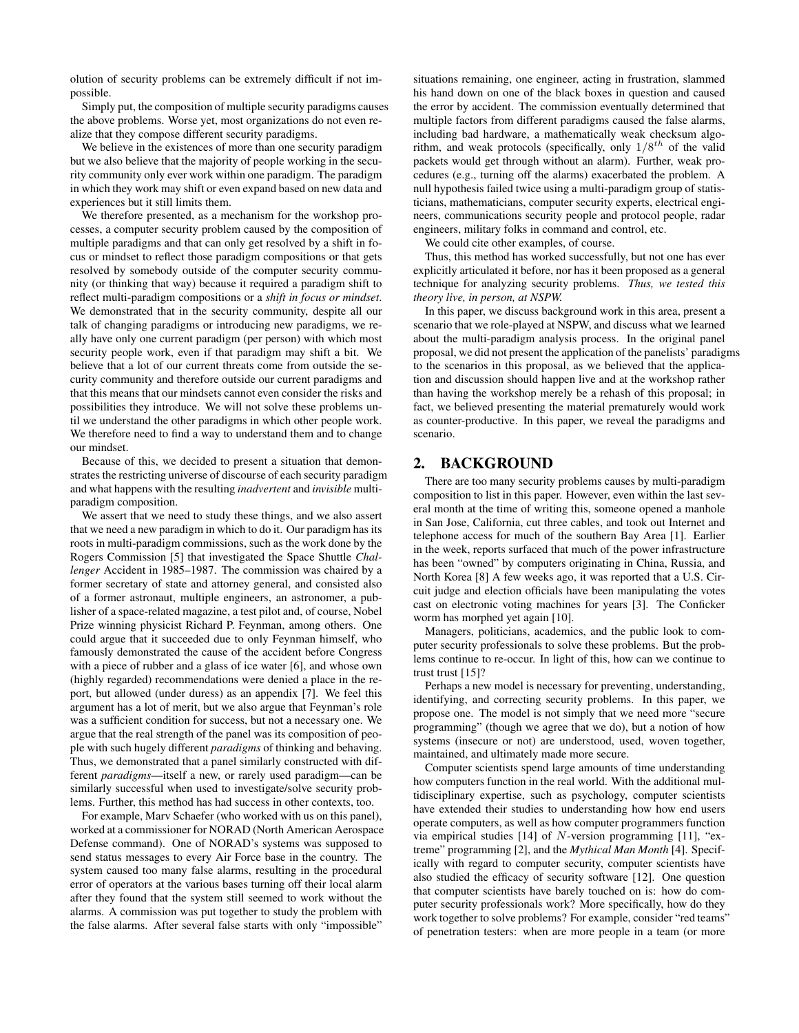olution of security problems can be extremely difficult if not impossible.

Simply put, the composition of multiple security paradigms causes the above problems. Worse yet, most organizations do not even realize that they compose different security paradigms.

We believe in the existences of more than one security paradigm but we also believe that the majority of people working in the security community only ever work within one paradigm. The paradigm in which they work may shift or even expand based on new data and experiences but it still limits them.

We therefore presented, as a mechanism for the workshop processes, a computer security problem caused by the composition of multiple paradigms and that can only get resolved by a shift in focus or mindset to reflect those paradigm compositions or that gets resolved by somebody outside of the computer security community (or thinking that way) because it required a paradigm shift to reflect multi-paradigm compositions or a *shift in focus or mindset*. We demonstrated that in the security community, despite all our talk of changing paradigms or introducing new paradigms, we really have only one current paradigm (per person) with which most security people work, even if that paradigm may shift a bit. We believe that a lot of our current threats come from outside the security community and therefore outside our current paradigms and that this means that our mindsets cannot even consider the risks and possibilities they introduce. We will not solve these problems until we understand the other paradigms in which other people work. We therefore need to find a way to understand them and to change our mindset.

Because of this, we decided to present a situation that demonstrates the restricting universe of discourse of each security paradigm and what happens with the resulting *inadvertent* and *invisible* multiparadigm composition.

We assert that we need to study these things, and we also assert that we need a new paradigm in which to do it. Our paradigm has its roots in multi-paradigm commissions, such as the work done by the Rogers Commission [5] that investigated the Space Shuttle *Challenger* Accident in 1985–1987. The commission was chaired by a former secretary of state and attorney general, and consisted also of a former astronaut, multiple engineers, an astronomer, a publisher of a space-related magazine, a test pilot and, of course, Nobel Prize winning physicist Richard P. Feynman, among others. One could argue that it succeeded due to only Feynman himself, who famously demonstrated the cause of the accident before Congress with a piece of rubber and a glass of ice water [6], and whose own (highly regarded) recommendations were denied a place in the report, but allowed (under duress) as an appendix [7]. We feel this argument has a lot of merit, but we also argue that Feynman's role was a sufficient condition for success, but not a necessary one. We argue that the real strength of the panel was its composition of people with such hugely different *paradigms* of thinking and behaving. Thus, we demonstrated that a panel similarly constructed with different *paradigms*—itself a new, or rarely used paradigm—can be similarly successful when used to investigate/solve security problems. Further, this method has had success in other contexts, too.

For example, Marv Schaefer (who worked with us on this panel), worked at a commissioner for NORAD (North American Aerospace Defense command). One of NORAD's systems was supposed to send status messages to every Air Force base in the country. The system caused too many false alarms, resulting in the procedural error of operators at the various bases turning off their local alarm after they found that the system still seemed to work without the alarms. A commission was put together to study the problem with the false alarms. After several false starts with only "impossible"

situations remaining, one engineer, acting in frustration, slammed his hand down on one of the black boxes in question and caused the error by accident. The commission eventually determined that multiple factors from different paradigms caused the false alarms, including bad hardware, a mathematically weak checksum algorithm, and weak protocols (specifically, only  $1/8^{th}$  of the valid packets would get through without an alarm). Further, weak procedures (e.g., turning off the alarms) exacerbated the problem. A null hypothesis failed twice using a multi-paradigm group of statisticians, mathematicians, computer security experts, electrical engineers, communications security people and protocol people, radar engineers, military folks in command and control, etc.

We could cite other examples, of course.

Thus, this method has worked successfully, but not one has ever explicitly articulated it before, nor has it been proposed as a general technique for analyzing security problems. *Thus, we tested this theory live, in person, at NSPW.*

In this paper, we discuss background work in this area, present a scenario that we role-played at NSPW, and discuss what we learned about the multi-paradigm analysis process. In the original panel proposal, we did not present the application of the panelists' paradigms to the scenarios in this proposal, as we believed that the application and discussion should happen live and at the workshop rather than having the workshop merely be a rehash of this proposal; in fact, we believed presenting the material prematurely would work as counter-productive. In this paper, we reveal the paradigms and scenario.

## 2. BACKGROUND

There are too many security problems causes by multi-paradigm composition to list in this paper. However, even within the last several month at the time of writing this, someone opened a manhole in San Jose, California, cut three cables, and took out Internet and telephone access for much of the southern Bay Area [1]. Earlier in the week, reports surfaced that much of the power infrastructure has been "owned" by computers originating in China, Russia, and North Korea [8] A few weeks ago, it was reported that a U.S. Circuit judge and election officials have been manipulating the votes cast on electronic voting machines for years [3]. The Conficker worm has morphed yet again [10].

Managers, politicians, academics, and the public look to computer security professionals to solve these problems. But the problems continue to re-occur. In light of this, how can we continue to trust [15]?

Perhaps a new model is necessary for preventing, understanding, identifying, and correcting security problems. In this paper, we propose one. The model is not simply that we need more "secure programming" (though we agree that we do), but a notion of how systems (insecure or not) are understood, used, woven together, maintained, and ultimately made more secure.

Computer scientists spend large amounts of time understanding how computers function in the real world. With the additional multidisciplinary expertise, such as psychology, computer scientists have extended their studies to understanding how how end users operate computers, as well as how computer programmers function via empirical studies [14] of N-version programming [11], "extreme" programming [2], and the *Mythical Man Month* [4]. Specifically with regard to computer security, computer scientists have also studied the efficacy of security software [12]. One question that computer scientists have barely touched on is: how do computer security professionals work? More specifically, how do they work together to solve problems? For example, consider "red teams" of penetration testers: when are more people in a team (or more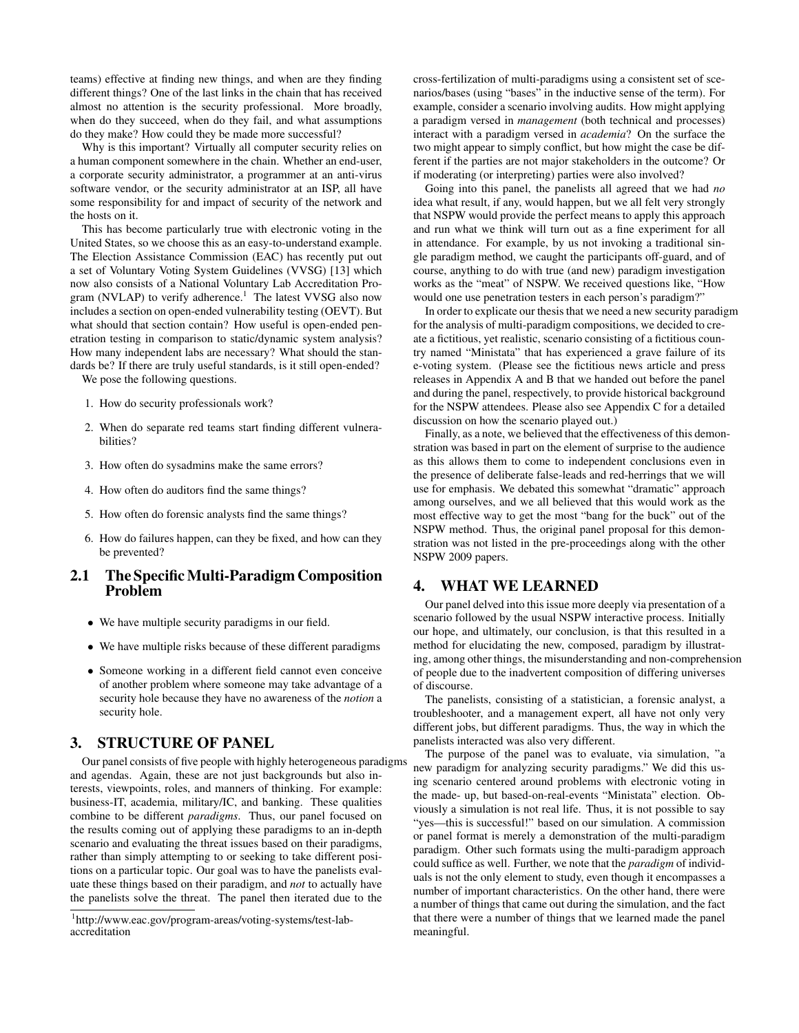teams) effective at finding new things, and when are they finding different things? One of the last links in the chain that has received almost no attention is the security professional. More broadly, when do they succeed, when do they fail, and what assumptions do they make? How could they be made more successful?

Why is this important? Virtually all computer security relies on a human component somewhere in the chain. Whether an end-user, a corporate security administrator, a programmer at an anti-virus software vendor, or the security administrator at an ISP, all have some responsibility for and impact of security of the network and the hosts on it.

This has become particularly true with electronic voting in the United States, so we choose this as an easy-to-understand example. The Election Assistance Commission (EAC) has recently put out a set of Voluntary Voting System Guidelines (VVSG) [13] which now also consists of a National Voluntary Lab Accreditation Program (NVLAP) to verify adherence.<sup>1</sup> The latest VVSG also now includes a section on open-ended vulnerability testing (OEVT). But what should that section contain? How useful is open-ended penetration testing in comparison to static/dynamic system analysis? How many independent labs are necessary? What should the standards be? If there are truly useful standards, is it still open-ended?

We pose the following questions.

- 1. How do security professionals work?
- 2. When do separate red teams start finding different vulnerabilities?
- 3. How often do sysadmins make the same errors?
- 4. How often do auditors find the same things?
- 5. How often do forensic analysts find the same things?
- 6. How do failures happen, can they be fixed, and how can they be prevented?

## 2.1 The SpecificMulti-Paradigm Composition Problem

- We have multiple security paradigms in our field.
- We have multiple risks because of these different paradigms
- Someone working in a different field cannot even conceive of another problem where someone may take advantage of a security hole because they have no awareness of the *notion* a security hole.

## 3. STRUCTURE OF PANEL

Our panel consists of five people with highly heterogeneous paradigms and agendas. Again, these are not just backgrounds but also interests, viewpoints, roles, and manners of thinking. For example: business-IT, academia, military/IC, and banking. These qualities combine to be different *paradigms*. Thus, our panel focused on the results coming out of applying these paradigms to an in-depth scenario and evaluating the threat issues based on their paradigms, rather than simply attempting to or seeking to take different positions on a particular topic. Our goal was to have the panelists evaluate these things based on their paradigm, and *not* to actually have the panelists solve the threat. The panel then iterated due to the

cross-fertilization of multi-paradigms using a consistent set of scenarios/bases (using "bases" in the inductive sense of the term). For example, consider a scenario involving audits. How might applying a paradigm versed in *management* (both technical and processes) interact with a paradigm versed in *academia*? On the surface the two might appear to simply conflict, but how might the case be different if the parties are not major stakeholders in the outcome? Or if moderating (or interpreting) parties were also involved?

Going into this panel, the panelists all agreed that we had *no* idea what result, if any, would happen, but we all felt very strongly that NSPW would provide the perfect means to apply this approach and run what we think will turn out as a fine experiment for all in attendance. For example, by us not invoking a traditional single paradigm method, we caught the participants off-guard, and of course, anything to do with true (and new) paradigm investigation works as the "meat" of NSPW. We received questions like, "How would one use penetration testers in each person's paradigm?"

In order to explicate our thesis that we need a new security paradigm for the analysis of multi-paradigm compositions, we decided to create a fictitious, yet realistic, scenario consisting of a fictitious country named "Ministata" that has experienced a grave failure of its e-voting system. (Please see the fictitious news article and press releases in Appendix A and B that we handed out before the panel and during the panel, respectively, to provide historical background for the NSPW attendees. Please also see Appendix C for a detailed discussion on how the scenario played out.)

Finally, as a note, we believed that the effectiveness of this demonstration was based in part on the element of surprise to the audience as this allows them to come to independent conclusions even in the presence of deliberate false-leads and red-herrings that we will use for emphasis. We debated this somewhat "dramatic" approach among ourselves, and we all believed that this would work as the most effective way to get the most "bang for the buck" out of the NSPW method. Thus, the original panel proposal for this demonstration was not listed in the pre-proceedings along with the other NSPW 2009 papers.

## 4. WHAT WE LEARNED

Our panel delved into this issue more deeply via presentation of a scenario followed by the usual NSPW interactive process. Initially our hope, and ultimately, our conclusion, is that this resulted in a method for elucidating the new, composed, paradigm by illustrating, among other things, the misunderstanding and non-comprehension of people due to the inadvertent composition of differing universes of discourse.

The panelists, consisting of a statistician, a forensic analyst, a troubleshooter, and a management expert, all have not only very different jobs, but different paradigms. Thus, the way in which the panelists interacted was also very different.

The purpose of the panel was to evaluate, via simulation, "a new paradigm for analyzing security paradigms." We did this using scenario centered around problems with electronic voting in the made- up, but based-on-real-events "Ministata" election. Obviously a simulation is not real life. Thus, it is not possible to say "yes—this is successful!" based on our simulation. A commission or panel format is merely a demonstration of the multi-paradigm paradigm. Other such formats using the multi-paradigm approach could suffice as well. Further, we note that the *paradigm* of individuals is not the only element to study, even though it encompasses a number of important characteristics. On the other hand, there were a number of things that came out during the simulation, and the fact that there were a number of things that we learned made the panel meaningful.

<sup>1</sup> http://www.eac.gov/program-areas/voting-systems/test-labaccreditation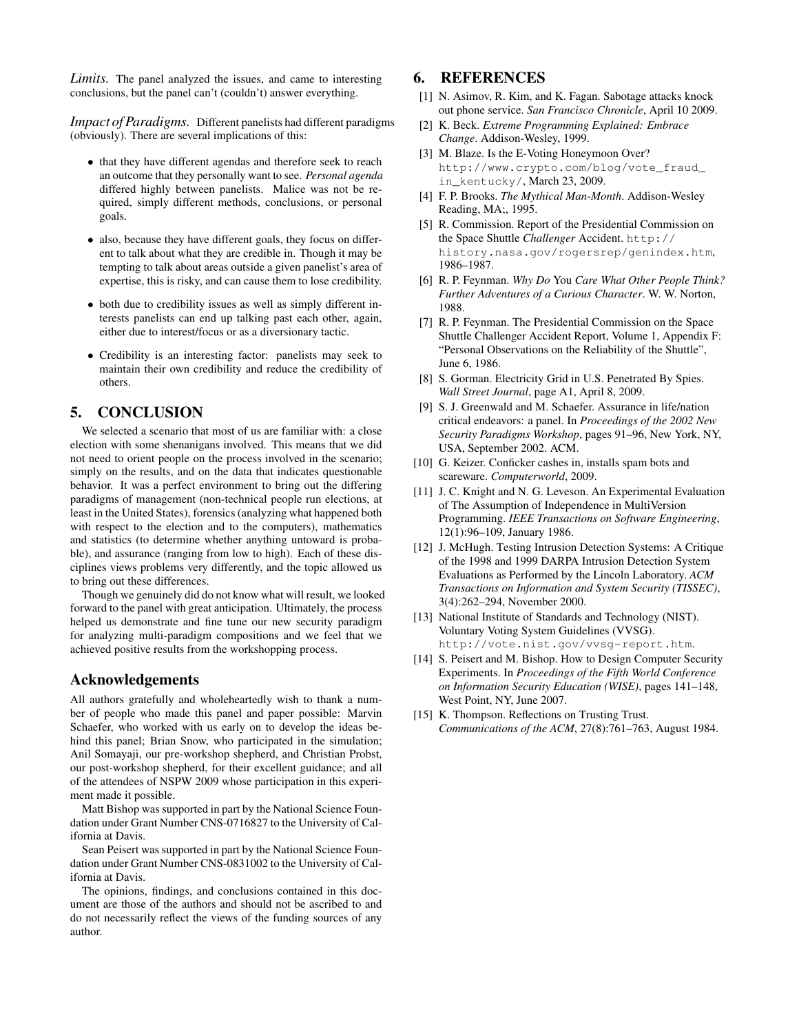*Limits.* The panel analyzed the issues, and came to interesting conclusions, but the panel can't (couldn't) answer everything.

*Impact of Paradigms.* Different panelists had different paradigms (obviously). There are several implications of this:

- that they have different agendas and therefore seek to reach an outcome that they personally want to see. *Personal agenda* differed highly between panelists. Malice was not be required, simply different methods, conclusions, or personal goals.
- also, because they have different goals, they focus on different to talk about what they are credible in. Though it may be tempting to talk about areas outside a given panelist's area of expertise, this is risky, and can cause them to lose credibility.
- both due to credibility issues as well as simply different interests panelists can end up talking past each other, again, either due to interest/focus or as a diversionary tactic.
- Credibility is an interesting factor: panelists may seek to maintain their own credibility and reduce the credibility of others.

## 5. CONCLUSION

We selected a scenario that most of us are familiar with: a close election with some shenanigans involved. This means that we did not need to orient people on the process involved in the scenario; simply on the results, and on the data that indicates questionable behavior. It was a perfect environment to bring out the differing paradigms of management (non-technical people run elections, at least in the United States), forensics (analyzing what happened both with respect to the election and to the computers), mathematics and statistics (to determine whether anything untoward is probable), and assurance (ranging from low to high). Each of these disciplines views problems very differently, and the topic allowed us to bring out these differences.

Though we genuinely did do not know what will result, we looked forward to the panel with great anticipation. Ultimately, the process helped us demonstrate and fine tune our new security paradigm for analyzing multi-paradigm compositions and we feel that we achieved positive results from the workshopping process.

## Acknowledgements

All authors gratefully and wholeheartedly wish to thank a number of people who made this panel and paper possible: Marvin Schaefer, who worked with us early on to develop the ideas behind this panel; Brian Snow, who participated in the simulation; Anil Somayaji, our pre-workshop shepherd, and Christian Probst, our post-workshop shepherd, for their excellent guidance; and all of the attendees of NSPW 2009 whose participation in this experiment made it possible.

Matt Bishop was supported in part by the National Science Foundation under Grant Number CNS-0716827 to the University of California at Davis.

Sean Peisert was supported in part by the National Science Foundation under Grant Number CNS-0831002 to the University of California at Davis.

The opinions, findings, and conclusions contained in this document are those of the authors and should not be ascribed to and do not necessarily reflect the views of the funding sources of any author.

## 6. REFERENCES

- [1] N. Asimov, R. Kim, and K. Fagan. Sabotage attacks knock out phone service. *San Francisco Chronicle*, April 10 2009.
- [2] K. Beck. *Extreme Programming Explained: Embrace Change*. Addison-Wesley, 1999.
- [3] M. Blaze. Is the E-Voting Honeymoon Over? http://www.crypto.com/blog/vote\_fraud\_ in\_kentucky/, March 23, 2009.
- [4] F. P. Brooks. *The Mythical Man-Month*. Addison-Wesley Reading, MA;, 1995.
- [5] R. Commission. Report of the Presidential Commission on the Space Shuttle *Challenger* Accident. http:// history.nasa.gov/rogersrep/genindex.htm, 1986–1987.
- [6] R. P. Feynman. *Why Do* You *Care What Other People Think? Further Adventures of a Curious Character*. W. W. Norton, 1988.
- [7] R. P. Feynman. The Presidential Commission on the Space Shuttle Challenger Accident Report, Volume 1, Appendix F: "Personal Observations on the Reliability of the Shuttle", June 6, 1986.
- [8] S. Gorman. Electricity Grid in U.S. Penetrated By Spies. *Wall Street Journal*, page A1, April 8, 2009.
- [9] S. J. Greenwald and M. Schaefer. Assurance in life/nation critical endeavors: a panel. In *Proceedings of the 2002 New Security Paradigms Workshop*, pages 91–96, New York, NY, USA, September 2002. ACM.
- [10] G. Keizer. Conficker cashes in, installs spam bots and scareware. *Computerworld*, 2009.
- [11] J. C. Knight and N. G. Leveson. An Experimental Evaluation of The Assumption of Independence in MultiVersion Programming. *IEEE Transactions on Software Engineering*, 12(1):96–109, January 1986.
- [12] J. McHugh. Testing Intrusion Detection Systems: A Critique of the 1998 and 1999 DARPA Intrusion Detection System Evaluations as Performed by the Lincoln Laboratory. *ACM Transactions on Information and System Security (TISSEC)*, 3(4):262–294, November 2000.
- [13] National Institute of Standards and Technology (NIST). Voluntary Voting System Guidelines (VVSG). http://vote.nist.gov/vvsg-report.htm.
- [14] S. Peisert and M. Bishop. How to Design Computer Security Experiments. In *Proceedings of the Fifth World Conference on Information Security Education (WISE)*, pages 141–148, West Point, NY, June 2007.
- [15] K. Thompson. Reflections on Trusting Trust. *Communications of the ACM*, 27(8):761–763, August 1984.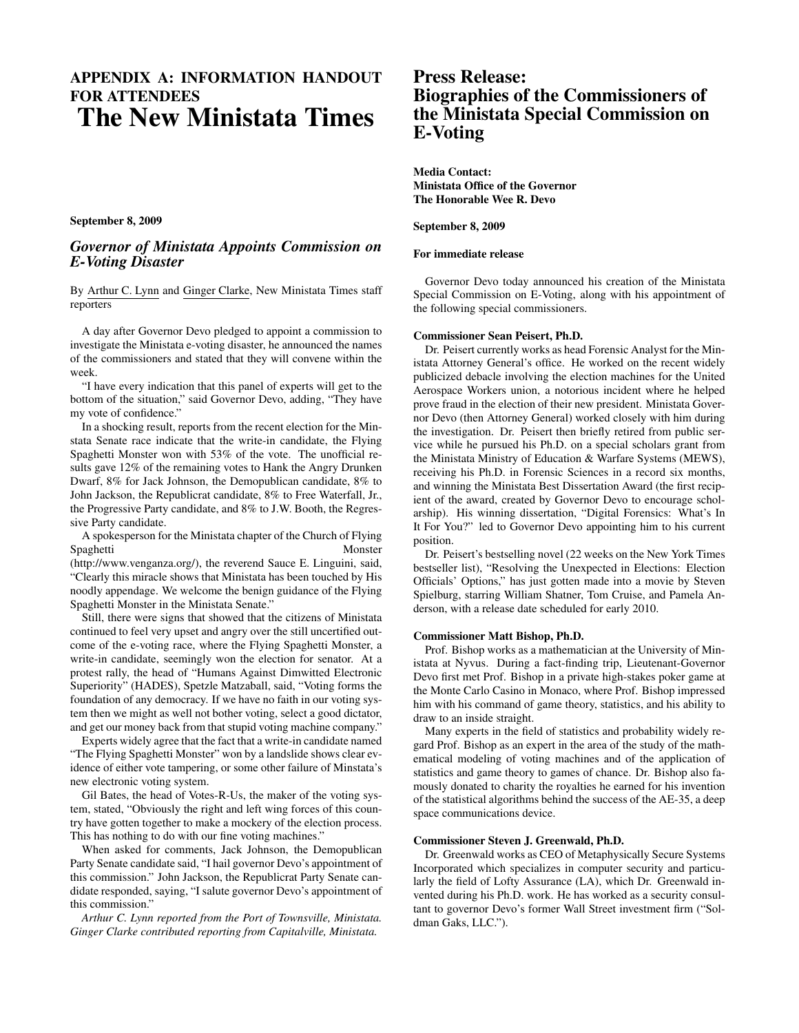## APPENDIX A: INFORMATION HANDOUT FOR ATTENDEES The New Ministata Times

September 8, 2009

## *Governor of Ministata Appoints Commission on E-Voting Disaster*

By Arthur C. Lynn and Ginger Clarke, New Ministata Times staff reporters

A day after Governor Devo pledged to appoint a commission to investigate the Ministata e-voting disaster, he announced the names of the commissioners and stated that they will convene within the week.

"I have every indication that this panel of experts will get to the bottom of the situation," said Governor Devo, adding, "They have my vote of confidence."

In a shocking result, reports from the recent election for the Minstata Senate race indicate that the write-in candidate, the Flying Spaghetti Monster won with 53% of the vote. The unofficial results gave 12% of the remaining votes to Hank the Angry Drunken Dwarf, 8% for Jack Johnson, the Demopublican candidate, 8% to John Jackson, the Republicrat candidate, 8% to Free Waterfall, Jr., the Progressive Party candidate, and 8% to J.W. Booth, the Regressive Party candidate.

A spokesperson for the Ministata chapter of the Church of Flying Spaghetti Monster

(http://www.venganza.org/), the reverend Sauce E. Linguini, said, "Clearly this miracle shows that Ministata has been touched by His noodly appendage. We welcome the benign guidance of the Flying Spaghetti Monster in the Ministata Senate."

Still, there were signs that showed that the citizens of Ministata continued to feel very upset and angry over the still uncertified outcome of the e-voting race, where the Flying Spaghetti Monster, a write-in candidate, seemingly won the election for senator. At a protest rally, the head of "Humans Against Dimwitted Electronic Superiority" (HADES), Spetzle Matzaball, said, "Voting forms the foundation of any democracy. If we have no faith in our voting system then we might as well not bother voting, select a good dictator, and get our money back from that stupid voting machine company."

Experts widely agree that the fact that a write-in candidate named "The Flying Spaghetti Monster" won by a landslide shows clear evidence of either vote tampering, or some other failure of Minstata's new electronic voting system.

Gil Bates, the head of Votes-R-Us, the maker of the voting system, stated, "Obviously the right and left wing forces of this country have gotten together to make a mockery of the election process. This has nothing to do with our fine voting machines."

When asked for comments, Jack Johnson, the Demopublican Party Senate candidate said, "I hail governor Devo's appointment of this commission." John Jackson, the Republicrat Party Senate candidate responded, saying, "I salute governor Devo's appointment of this commission."

*Arthur C. Lynn reported from the Port of Townsville, Ministata. Ginger Clarke contributed reporting from Capitalville, Ministata.*

## Press Release: Biographies of the Commissioners of the Ministata Special Commission on E-Voting

Media Contact: Ministata Office of the Governor The Honorable Wee R. Devo

#### September 8, 2009

#### For immediate release

Governor Devo today announced his creation of the Ministata Special Commission on E-Voting, along with his appointment of the following special commissioners.

#### Commissioner Sean Peisert, Ph.D.

Dr. Peisert currently works as head Forensic Analyst for the Ministata Attorney General's office. He worked on the recent widely publicized debacle involving the election machines for the United Aerospace Workers union, a notorious incident where he helped prove fraud in the election of their new president. Ministata Governor Devo (then Attorney General) worked closely with him during the investigation. Dr. Peisert then briefly retired from public service while he pursued his Ph.D. on a special scholars grant from the Ministata Ministry of Education & Warfare Systems (MEWS), receiving his Ph.D. in Forensic Sciences in a record six months, and winning the Ministata Best Dissertation Award (the first recipient of the award, created by Governor Devo to encourage scholarship). His winning dissertation, "Digital Forensics: What's In It For You?" led to Governor Devo appointing him to his current position.

Dr. Peisert's bestselling novel (22 weeks on the New York Times bestseller list), "Resolving the Unexpected in Elections: Election Officials' Options," has just gotten made into a movie by Steven Spielburg, starring William Shatner, Tom Cruise, and Pamela Anderson, with a release date scheduled for early 2010.

#### Commissioner Matt Bishop, Ph.D.

Prof. Bishop works as a mathematician at the University of Ministata at Nyvus. During a fact-finding trip, Lieutenant-Governor Devo first met Prof. Bishop in a private high-stakes poker game at the Monte Carlo Casino in Monaco, where Prof. Bishop impressed him with his command of game theory, statistics, and his ability to draw to an inside straight.

Many experts in the field of statistics and probability widely regard Prof. Bishop as an expert in the area of the study of the mathematical modeling of voting machines and of the application of statistics and game theory to games of chance. Dr. Bishop also famously donated to charity the royalties he earned for his invention of the statistical algorithms behind the success of the AE-35, a deep space communications device.

#### Commissioner Steven J. Greenwald, Ph.D.

Dr. Greenwald works as CEO of Metaphysically Secure Systems Incorporated which specializes in computer security and particularly the field of Lofty Assurance (LA), which Dr. Greenwald invented during his Ph.D. work. He has worked as a security consultant to governor Devo's former Wall Street investment firm ("Soldman Gaks, LLC.").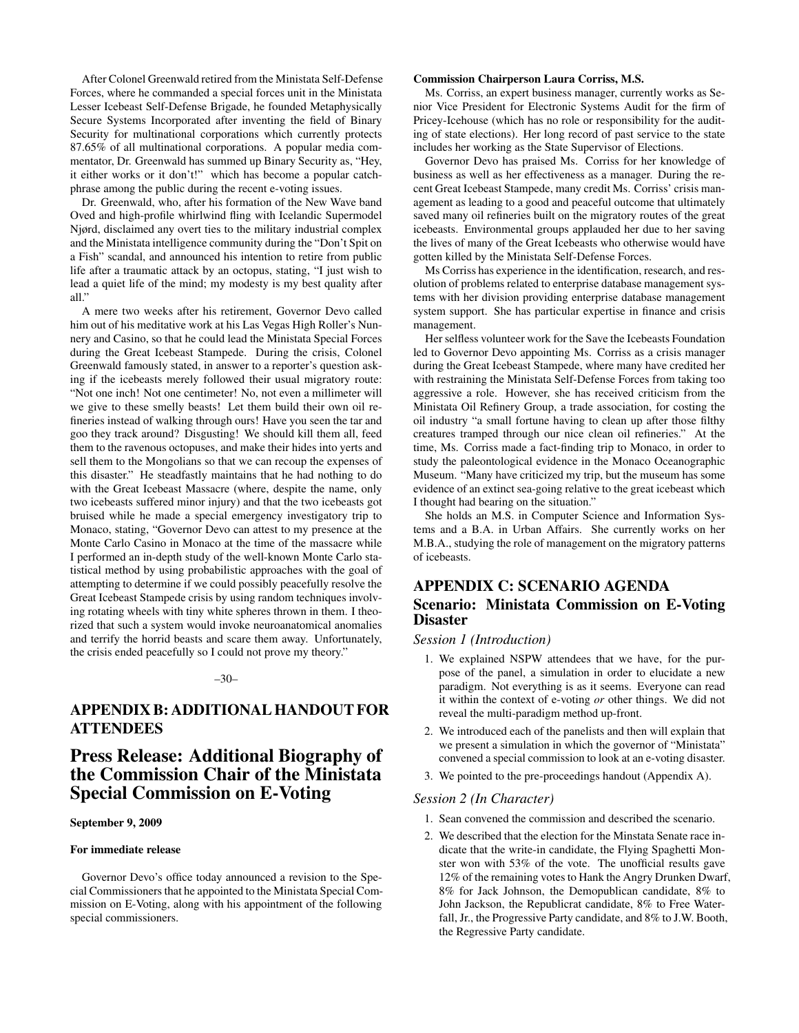After Colonel Greenwald retired from the Ministata Self-Defense Forces, where he commanded a special forces unit in the Ministata Lesser Icebeast Self-Defense Brigade, he founded Metaphysically Secure Systems Incorporated after inventing the field of Binary Security for multinational corporations which currently protects 87.65% of all multinational corporations. A popular media commentator, Dr. Greenwald has summed up Binary Security as, "Hey, it either works or it don't!" which has become a popular catchphrase among the public during the recent e-voting issues.

Dr. Greenwald, who, after his formation of the New Wave band Oved and high-profile whirlwind fling with Icelandic Supermodel Njørd, disclaimed any overt ties to the military industrial complex and the Ministata intelligence community during the "Don't Spit on a Fish" scandal, and announced his intention to retire from public life after a traumatic attack by an octopus, stating, "I just wish to lead a quiet life of the mind; my modesty is my best quality after all."

A mere two weeks after his retirement, Governor Devo called him out of his meditative work at his Las Vegas High Roller's Nunnery and Casino, so that he could lead the Ministata Special Forces during the Great Icebeast Stampede. During the crisis, Colonel Greenwald famously stated, in answer to a reporter's question asking if the icebeasts merely followed their usual migratory route: "Not one inch! Not one centimeter! No, not even a millimeter will we give to these smelly beasts! Let them build their own oil refineries instead of walking through ours! Have you seen the tar and goo they track around? Disgusting! We should kill them all, feed them to the ravenous octopuses, and make their hides into yerts and sell them to the Mongolians so that we can recoup the expenses of this disaster." He steadfastly maintains that he had nothing to do with the Great Icebeast Massacre (where, despite the name, only two icebeasts suffered minor injury) and that the two icebeasts got bruised while he made a special emergency investigatory trip to Monaco, stating, "Governor Devo can attest to my presence at the Monte Carlo Casino in Monaco at the time of the massacre while I performed an in-depth study of the well-known Monte Carlo statistical method by using probabilistic approaches with the goal of attempting to determine if we could possibly peacefully resolve the Great Icebeast Stampede crisis by using random techniques involving rotating wheels with tiny white spheres thrown in them. I theorized that such a system would invoke neuroanatomical anomalies and terrify the horrid beasts and scare them away. Unfortunately, the crisis ended peacefully so I could not prove my theory."

#### –30–

## APPENDIX B: ADDITIONAL HANDOUT FOR **ATTENDEES**

## Press Release: Additional Biography of the Commission Chair of the Ministata Special Commission on E-Voting

#### September 9, 2009

#### For immediate release

Governor Devo's office today announced a revision to the Special Commissioners that he appointed to the Ministata Special Commission on E-Voting, along with his appointment of the following special commissioners.

#### Commission Chairperson Laura Corriss, M.S.

Ms. Corriss, an expert business manager, currently works as Senior Vice President for Electronic Systems Audit for the firm of Pricey-Icehouse (which has no role or responsibility for the auditing of state elections). Her long record of past service to the state includes her working as the State Supervisor of Elections.

Governor Devo has praised Ms. Corriss for her knowledge of business as well as her effectiveness as a manager. During the recent Great Icebeast Stampede, many credit Ms. Corriss' crisis management as leading to a good and peaceful outcome that ultimately saved many oil refineries built on the migratory routes of the great icebeasts. Environmental groups applauded her due to her saving the lives of many of the Great Icebeasts who otherwise would have gotten killed by the Ministata Self-Defense Forces.

Ms Corriss has experience in the identification, research, and resolution of problems related to enterprise database management systems with her division providing enterprise database management system support. She has particular expertise in finance and crisis management.

Her selfless volunteer work for the Save the Icebeasts Foundation led to Governor Devo appointing Ms. Corriss as a crisis manager during the Great Icebeast Stampede, where many have credited her with restraining the Ministata Self-Defense Forces from taking too aggressive a role. However, she has received criticism from the Ministata Oil Refinery Group, a trade association, for costing the oil industry "a small fortune having to clean up after those filthy creatures tramped through our nice clean oil refineries." At the time, Ms. Corriss made a fact-finding trip to Monaco, in order to study the paleontological evidence in the Monaco Oceanographic Museum. "Many have criticized my trip, but the museum has some evidence of an extinct sea-going relative to the great icebeast which I thought had bearing on the situation."

She holds an M.S. in Computer Science and Information Systems and a B.A. in Urban Affairs. She currently works on her M.B.A., studying the role of management on the migratory patterns of icebeasts.

## APPENDIX C: SCENARIO AGENDA Scenario: Ministata Commission on E-Voting **Disaster**

#### *Session 1 (Introduction)*

- 1. We explained NSPW attendees that we have, for the purpose of the panel, a simulation in order to elucidate a new paradigm. Not everything is as it seems. Everyone can read it within the context of e-voting *or* other things. We did not reveal the multi-paradigm method up-front.
- 2. We introduced each of the panelists and then will explain that we present a simulation in which the governor of "Ministata" convened a special commission to look at an e-voting disaster.
- 3. We pointed to the pre-proceedings handout (Appendix A).

#### *Session 2 (In Character)*

- 1. Sean convened the commission and described the scenario.
- 2. We described that the election for the Minstata Senate race indicate that the write-in candidate, the Flying Spaghetti Monster won with 53% of the vote. The unofficial results gave 12% of the remaining votes to Hank the Angry Drunken Dwarf, 8% for Jack Johnson, the Demopublican candidate, 8% to John Jackson, the Republicrat candidate, 8% to Free Waterfall, Jr., the Progressive Party candidate, and 8% to J.W. Booth, the Regressive Party candidate.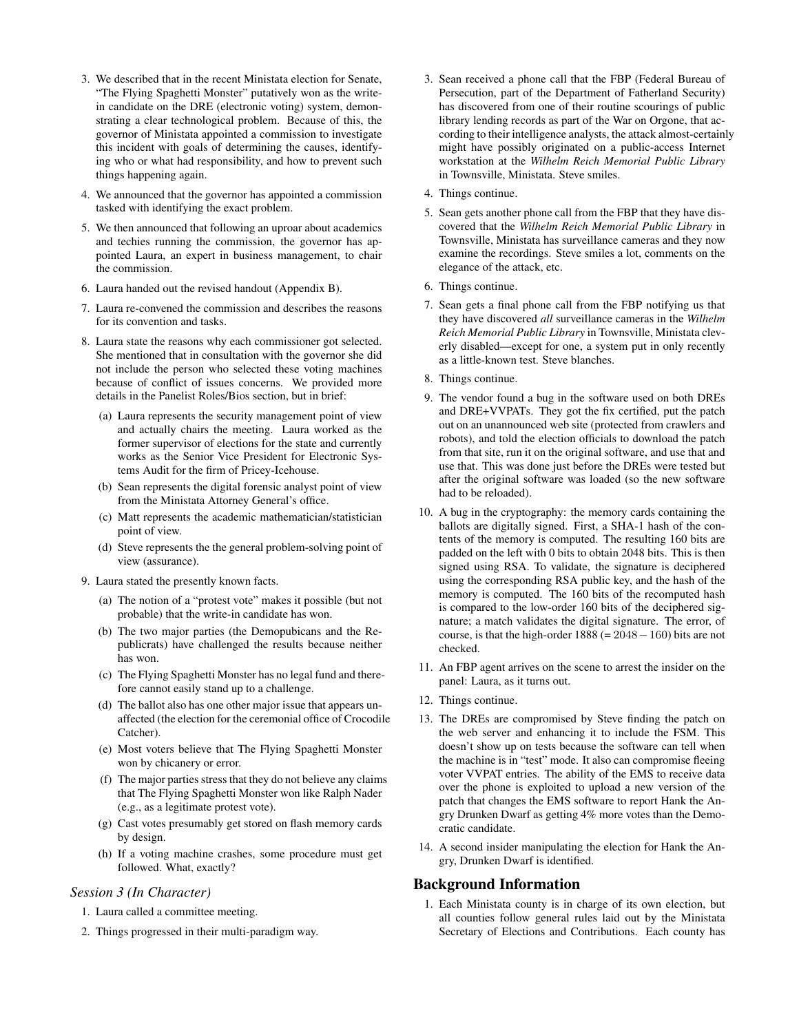- 3. We described that in the recent Ministata election for Senate, "The Flying Spaghetti Monster" putatively won as the writein candidate on the DRE (electronic voting) system, demonstrating a clear technological problem. Because of this, the governor of Ministata appointed a commission to investigate this incident with goals of determining the causes, identifying who or what had responsibility, and how to prevent such things happening again.
- 4. We announced that the governor has appointed a commission tasked with identifying the exact problem.
- 5. We then announced that following an uproar about academics and techies running the commission, the governor has appointed Laura, an expert in business management, to chair the commission.
- 6. Laura handed out the revised handout (Appendix B).
- 7. Laura re-convened the commission and describes the reasons for its convention and tasks.
- 8. Laura state the reasons why each commissioner got selected. She mentioned that in consultation with the governor she did not include the person who selected these voting machines because of conflict of issues concerns. We provided more details in the Panelist Roles/Bios section, but in brief:
	- (a) Laura represents the security management point of view and actually chairs the meeting. Laura worked as the former supervisor of elections for the state and currently works as the Senior Vice President for Electronic Systems Audit for the firm of Pricey-Icehouse.
	- (b) Sean represents the digital forensic analyst point of view from the Ministata Attorney General's office.
	- (c) Matt represents the academic mathematician/statistician point of view.
	- (d) Steve represents the the general problem-solving point of view (assurance).
- 9. Laura stated the presently known facts.
	- (a) The notion of a "protest vote" makes it possible (but not probable) that the write-in candidate has won.
	- (b) The two major parties (the Demopubicans and the Republicrats) have challenged the results because neither has won.
	- (c) The Flying Spaghetti Monster has no legal fund and therefore cannot easily stand up to a challenge.
	- (d) The ballot also has one other major issue that appears unaffected (the election for the ceremonial office of Crocodile Catcher).
	- (e) Most voters believe that The Flying Spaghetti Monster won by chicanery or error.
	- (f) The major parties stress that they do not believe any claims that The Flying Spaghetti Monster won like Ralph Nader (e.g., as a legitimate protest vote).
	- (g) Cast votes presumably get stored on flash memory cards by design.
	- (h) If a voting machine crashes, some procedure must get followed. What, exactly?

## *Session 3 (In Character)*

- 1. Laura called a committee meeting.
- 2. Things progressed in their multi-paradigm way.
- 3. Sean received a phone call that the FBP (Federal Bureau of Persecution, part of the Department of Fatherland Security) has discovered from one of their routine scourings of public library lending records as part of the War on Orgone, that according to their intelligence analysts, the attack almost-certainly might have possibly originated on a public-access Internet workstation at the *Wilhelm Reich Memorial Public Library* in Townsville, Ministata. Steve smiles.
- 4. Things continue.
- 5. Sean gets another phone call from the FBP that they have discovered that the *Wilhelm Reich Memorial Public Library* in Townsville, Ministata has surveillance cameras and they now examine the recordings. Steve smiles a lot, comments on the elegance of the attack, etc.
- 6. Things continue.
- 7. Sean gets a final phone call from the FBP notifying us that they have discovered *all* surveillance cameras in the *Wilhelm Reich Memorial Public Library* in Townsville, Ministata cleverly disabled—except for one, a system put in only recently as a little-known test. Steve blanches.
- 8. Things continue.
- 9. The vendor found a bug in the software used on both DREs and DRE+VVPATs. They got the fix certified, put the patch out on an unannounced web site (protected from crawlers and robots), and told the election officials to download the patch from that site, run it on the original software, and use that and use that. This was done just before the DREs were tested but after the original software was loaded (so the new software had to be reloaded).
- 10. A bug in the cryptography: the memory cards containing the ballots are digitally signed. First, a SHA-1 hash of the contents of the memory is computed. The resulting 160 bits are padded on the left with 0 bits to obtain 2048 bits. This is then signed using RSA. To validate, the signature is deciphered using the corresponding RSA public key, and the hash of the memory is computed. The 160 bits of the recomputed hash is compared to the low-order 160 bits of the deciphered signature; a match validates the digital signature. The error, of course, is that the high-order  $1888 (= 2048 - 160)$  bits are not checked.
- 11. An FBP agent arrives on the scene to arrest the insider on the panel: Laura, as it turns out.
- 12. Things continue.
- 13. The DREs are compromised by Steve finding the patch on the web server and enhancing it to include the FSM. This doesn't show up on tests because the software can tell when the machine is in "test" mode. It also can compromise fleeing voter VVPAT entries. The ability of the EMS to receive data over the phone is exploited to upload a new version of the patch that changes the EMS software to report Hank the Angry Drunken Dwarf as getting 4% more votes than the Democratic candidate.
- 14. A second insider manipulating the election for Hank the Angry, Drunken Dwarf is identified.

### Background Information

1. Each Ministata county is in charge of its own election, but all counties follow general rules laid out by the Ministata Secretary of Elections and Contributions. Each county has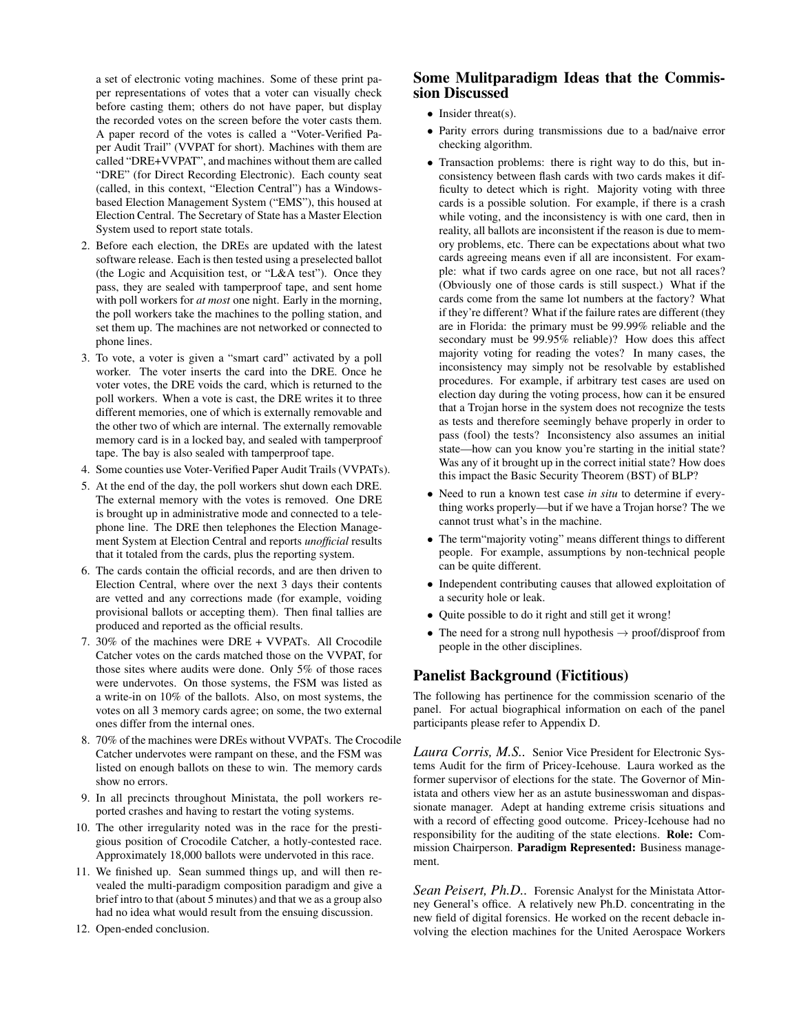a set of electronic voting machines. Some of these print paper representations of votes that a voter can visually check before casting them; others do not have paper, but display the recorded votes on the screen before the voter casts them. A paper record of the votes is called a "Voter-Verified Paper Audit Trail" (VVPAT for short). Machines with them are called "DRE+VVPAT", and machines without them are called "DRE" (for Direct Recording Electronic). Each county seat (called, in this context, "Election Central") has a Windowsbased Election Management System ("EMS"), this housed at Election Central. The Secretary of State has a Master Election System used to report state totals.

- 2. Before each election, the DREs are updated with the latest software release. Each is then tested using a preselected ballot (the Logic and Acquisition test, or "L&A test"). Once they pass, they are sealed with tamperproof tape, and sent home with poll workers for *at most* one night. Early in the morning, the poll workers take the machines to the polling station, and set them up. The machines are not networked or connected to phone lines.
- 3. To vote, a voter is given a "smart card" activated by a poll worker. The voter inserts the card into the DRE. Once he voter votes, the DRE voids the card, which is returned to the poll workers. When a vote is cast, the DRE writes it to three different memories, one of which is externally removable and the other two of which are internal. The externally removable memory card is in a locked bay, and sealed with tamperproof tape. The bay is also sealed with tamperproof tape.
- 4. Some counties use Voter-Verified Paper Audit Trails (VVPATs).
- 5. At the end of the day, the poll workers shut down each DRE. The external memory with the votes is removed. One DRE is brought up in administrative mode and connected to a telephone line. The DRE then telephones the Election Management System at Election Central and reports *unofficial* results that it totaled from the cards, plus the reporting system.
- 6. The cards contain the official records, and are then driven to Election Central, where over the next 3 days their contents are vetted and any corrections made (for example, voiding provisional ballots or accepting them). Then final tallies are produced and reported as the official results.
- 7. 30% of the machines were DRE + VVPATs. All Crocodile Catcher votes on the cards matched those on the VVPAT, for those sites where audits were done. Only 5% of those races were undervotes. On those systems, the FSM was listed as a write-in on 10% of the ballots. Also, on most systems, the votes on all 3 memory cards agree; on some, the two external ones differ from the internal ones.
- 8. 70% of the machines were DREs without VVPATs. The Crocodile Catcher undervotes were rampant on these, and the FSM was listed on enough ballots on these to win. The memory cards show no errors.
- 9. In all precincts throughout Ministata, the poll workers reported crashes and having to restart the voting systems.
- 10. The other irregularity noted was in the race for the prestigious position of Crocodile Catcher, a hotly-contested race. Approximately 18,000 ballots were undervoted in this race.
- 11. We finished up. Sean summed things up, and will then revealed the multi-paradigm composition paradigm and give a brief intro to that (about 5 minutes) and that we as a group also had no idea what would result from the ensuing discussion.
- 12. Open-ended conclusion.

## Some Mulitparadigm Ideas that the Commission Discussed

- Insider threat(s).
- Parity errors during transmissions due to a bad/naive error checking algorithm.
- Transaction problems: there is right way to do this, but inconsistency between flash cards with two cards makes it difficulty to detect which is right. Majority voting with three cards is a possible solution. For example, if there is a crash while voting, and the inconsistency is with one card, then in reality, all ballots are inconsistent if the reason is due to memory problems, etc. There can be expectations about what two cards agreeing means even if all are inconsistent. For example: what if two cards agree on one race, but not all races? (Obviously one of those cards is still suspect.) What if the cards come from the same lot numbers at the factory? What if they're different? What if the failure rates are different (they are in Florida: the primary must be 99.99% reliable and the secondary must be 99.95% reliable)? How does this affect majority voting for reading the votes? In many cases, the inconsistency may simply not be resolvable by established procedures. For example, if arbitrary test cases are used on election day during the voting process, how can it be ensured that a Trojan horse in the system does not recognize the tests as tests and therefore seemingly behave properly in order to pass (fool) the tests? Inconsistency also assumes an initial state—how can you know you're starting in the initial state? Was any of it brought up in the correct initial state? How does this impact the Basic Security Theorem (BST) of BLP?
- Need to run a known test case *in situ* to determine if everything works properly—but if we have a Trojan horse? The we cannot trust what's in the machine.
- The term"majority voting" means different things to different people. For example, assumptions by non-technical people can be quite different.
- Independent contributing causes that allowed exploitation of a security hole or leak.
- Quite possible to do it right and still get it wrong!
- The need for a strong null hypothesis  $\rightarrow$  proof/disproof from people in the other disciplines.

## Panelist Background (Fictitious)

The following has pertinence for the commission scenario of the panel. For actual biographical information on each of the panel participants please refer to Appendix D.

*Laura Corris, M.S..* Senior Vice President for Electronic Systems Audit for the firm of Pricey-Icehouse. Laura worked as the former supervisor of elections for the state. The Governor of Ministata and others view her as an astute businesswoman and dispassionate manager. Adept at handing extreme crisis situations and with a record of effecting good outcome. Pricey-Icehouse had no responsibility for the auditing of the state elections. Role: Commission Chairperson. Paradigm Represented: Business management.

*Sean Peisert, Ph.D..* Forensic Analyst for the Ministata Attorney General's office. A relatively new Ph.D. concentrating in the new field of digital forensics. He worked on the recent debacle involving the election machines for the United Aerospace Workers